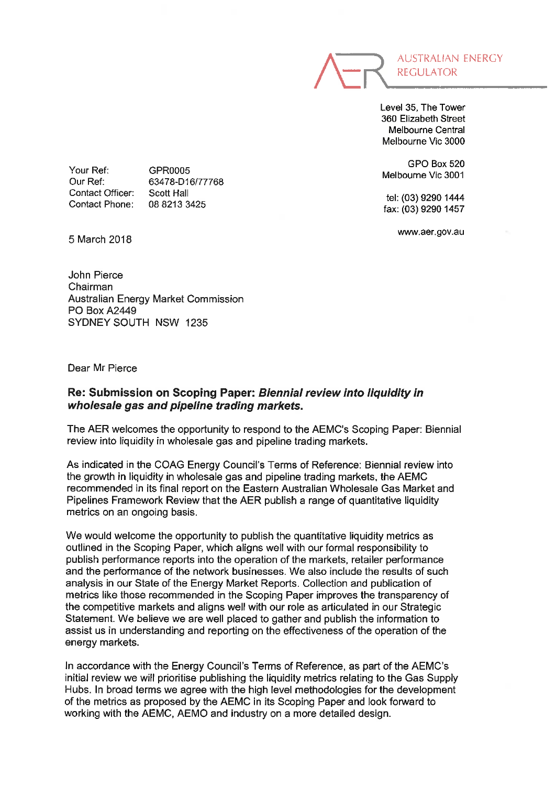

Level 35, The Tower 360 Elizabeth Street Melbourne Central Melbourne Vie 3000

GPO Box 520 Melbourne Vie 3001

tel: (03) 9290 1444 fax: (03) 9290 1457

www.aer.gov.au

Your Ref: Our Ref: Contact Officer: Contact Phone:

GPR0005 63478-D16/77768 Scott Hall 0882133425

5 March 2018

John Pierce Chairman Australian Energy Market Commission PO Box A2449 SYDNEY SOUTH NSW 1235

Dear Mr Pierce

## Re: Submission on Scoping Paper: Biennial review into liquidity in wholesale gas and pipeline trading markets.

The AER welcomes the opportunity to respond to the AEMC's Scoping Paper: Biennial review into liquidity in wholesale gas and pipeline trading markets.

As indicated in the COAG Energy Council's Terms of Reference: Biennial review into the growth in liquidity in wholesale gas and pipeline trading markets, the AEMC recommended in its final report on the Eastern Australian Wholesale Gas Market and Pipelines Framework Review that the AER publish a range of quantitative liquidity metrics on an ongoing basis.

We would welcome the opportunity to publish the quantitative liquidity metrics as outlined in the Scoping Paper, which aligns well with our formal responsibility to publish performance reports into the operation of the markets, retailer performance and the performance of the network businesses. We also include the results of such analysis in our State of the Energy Market Reports. Collection and publication of metrics like those recommended in the Scoping Paper improves the transparency of the competitive markets and aligns well with our role as articulated in our Strategic Statement. We believe we are well placed to gather and publish the information to assist us in understanding and reporting on the effectiveness of the operation of the energy markets.

In accordance with the Energy Council's Terms of Reference, as part of the AEMC's initial review we will prioritise publishing the liquidity metrics relating to the Gas Supply Hubs. In broad terms we agree with the high level methodologies for the development of the metrics as proposed by the AEMC in its Scoping Paper and look forward to working with the AEMC, AEMO and industry on a more detailed design.